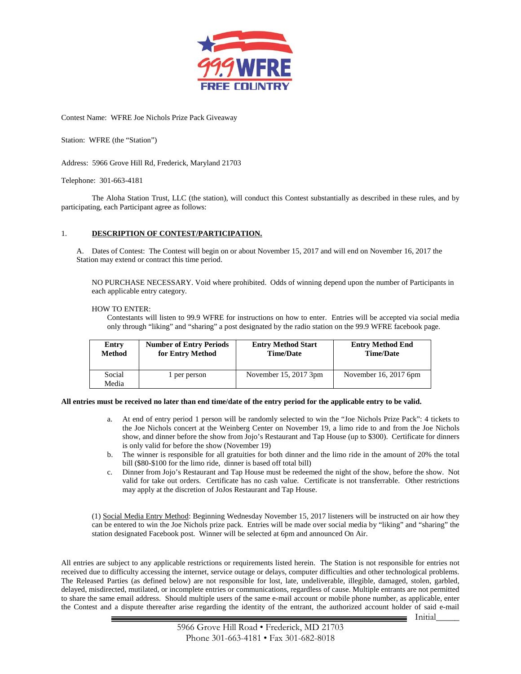

Contest Name: WFRE Joe Nichols Prize Pack Giveaway

Station: WFRE (the "Station")

Address: 5966 Grove Hill Rd, Frederick, Maryland 21703

Telephone: 301-663-4181

The Aloha Station Trust, LLC (the station), will conduct this Contest substantially as described in these rules, and by participating, each Participant agree as follows:

## 1. **DESCRIPTION OF CONTEST/PARTICIPATION.**

A. Dates of Contest: The Contest will begin on or about November 15, 2017 and will end on November 16, 2017 the Station may extend or contract this time period.

NO PURCHASE NECESSARY. Void where prohibited. Odds of winning depend upon the number of Participants in each applicable entry category.

## HOW TO ENTER:

Contestants will listen to 99.9 WFRE for instructions on how to enter. Entries will be accepted via social media only through "liking" and "sharing" a post designated by the radio station on the 99.9 WFRE facebook page.

| Entry           | <b>Number of Entry Periods</b> | <b>Entry Method Start</b> | <b>Entry Method End</b> |
|-----------------|--------------------------------|---------------------------|-------------------------|
| <b>Method</b>   | for Entry Method               | <b>Time/Date</b>          | <b>Time/Date</b>        |
| Social<br>Media | 1 per person                   | November $15, 2017$ 3pm   | November 16, 2017 $6pm$ |

## **All entries must be received no later than end time/date of the entry period for the applicable entry to be valid.**

- a. At end of entry period 1 person will be randomly selected to win the "Joe Nichols Prize Pack": 4 tickets to the Joe Nichols concert at the Weinberg Center on November 19, a limo ride to and from the Joe Nichols show, and dinner before the show from Jojo's Restaurant and Tap House (up to \$300). Certificate for dinners is only valid for before the show (November 19)
- b. The winner is responsible for all gratuities for both dinner and the limo ride in the amount of 20% the total bill (\$80-\$100 for the limo ride, dinner is based off total bill)
- c. Dinner from Jojo's Restaurant and Tap House must be redeemed the night of the show, before the show. Not valid for take out orders. Certificate has no cash value. Certificate is not transferrable. Other restrictions may apply at the discretion of JoJos Restaurant and Tap House.

(1) Social Media Entry Method: Beginning Wednesday November 15, 2017 listeners will be instructed on air how they can be entered to win the Joe Nichols prize pack. Entries will be made over social media by "liking" and "sharing" the station designated Facebook post. Winner will be selected at 6pm and announced On Air.

All entries are subject to any applicable restrictions or requirements listed herein. The Station is not responsible for entries not received due to difficulty accessing the internet, service outage or delays, computer difficulties and other technological problems. The Released Parties (as defined below) are not responsible for lost, late, undeliverable, illegible, damaged, stolen, garbled, delayed, misdirected, mutilated, or incomplete entries or communications, regardless of cause. Multiple entrants are not permitted to share the same email address. Should multiple users of the same e-mail account or mobile phone number, as applicable, enter the Contest and a dispute thereafter arise regarding the identity of the entrant, the authorized account holder of said e-mail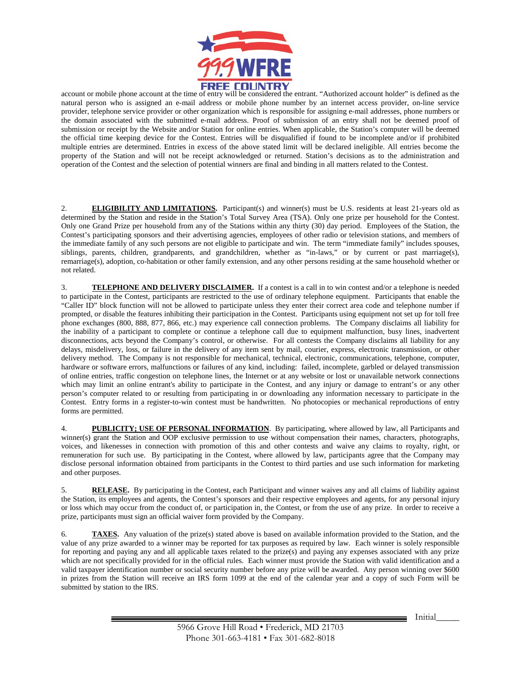

account or mobile phone account at the time of entry will be considered the entrant. "Authorized account holder" is defined as the natural person who is assigned an e-mail address or mobile phone number by an internet access provider, on-line service provider, telephone service provider or other organization which is responsible for assigning e-mail addresses, phone numbers or the domain associated with the submitted e-mail address. Proof of submission of an entry shall not be deemed proof of submission or receipt by the Website and/or Station for online entries. When applicable, the Station's computer will be deemed the official time keeping device for the Contest. Entries will be disqualified if found to be incomplete and/or if prohibited multiple entries are determined. Entries in excess of the above stated limit will be declared ineligible. All entries become the property of the Station and will not be receipt acknowledged or returned. Station's decisions as to the administration and operation of the Contest and the selection of potential winners are final and binding in all matters related to the Contest.

2. **ELIGIBILITY AND LIMITATIONS.** Participant(s) and winner(s) must be U.S. residents at least 21-years old as determined by the Station and reside in the Station's Total Survey Area (TSA). Only one prize per household for the Contest. Only one Grand Prize per household from any of the Stations within any thirty (30) day period. Employees of the Station, the Contest's participating sponsors and their advertising agencies, employees of other radio or television stations, and members of the immediate family of any such persons are not eligible to participate and win. The term "immediate family" includes spouses, siblings, parents, children, grandparents, and grandchildren, whether as "in-laws," or by current or past marriage(s), remarriage(s), adoption, co-habitation or other family extension, and any other persons residing at the same household whether or not related.

3. **TELEPHONE AND DELIVERY DISCLAIMER.** If a contest is a call in to win contest and/or a telephone is needed to participate in the Contest, participants are restricted to the use of ordinary telephone equipment. Participants that enable the "Caller ID" block function will not be allowed to participate unless they enter their correct area code and telephone number if prompted, or disable the features inhibiting their participation in the Contest. Participants using equipment not set up for toll free phone exchanges (800, 888, 877, 866, etc.) may experience call connection problems. The Company disclaims all liability for the inability of a participant to complete or continue a telephone call due to equipment malfunction, busy lines, inadvertent disconnections, acts beyond the Company's control, or otherwise. For all contests the Company disclaims all liability for any delays, misdelivery, loss, or failure in the delivery of any item sent by mail, courier, express, electronic transmission, or other delivery method. The Company is not responsible for mechanical, technical, electronic, communications, telephone, computer, hardware or software errors, malfunctions or failures of any kind, including: failed, incomplete, garbled or delayed transmission of online entries, traffic congestion on telephone lines, the Internet or at any website or lost or unavailable network connections which may limit an online entrant's ability to participate in the Contest, and any injury or damage to entrant's or any other person's computer related to or resulting from participating in or downloading any information necessary to participate in the Contest. Entry forms in a register-to-win contest must be handwritten. No photocopies or mechanical reproductions of entry forms are permitted.

4. **PUBLICITY; USE OF PERSONAL INFORMATION**. By participating, where allowed by law, all Participants and winner(s) grant the Station and OOP exclusive permission to use without compensation their names, characters, photographs, voices, and likenesses in connection with promotion of this and other contests and waive any claims to royalty, right, or remuneration for such use. By participating in the Contest, where allowed by law, participants agree that the Company may disclose personal information obtained from participants in the Contest to third parties and use such information for marketing and other purposes.

5. **RELEASE.** By participating in the Contest, each Participant and winner waives any and all claims of liability against the Station, its employees and agents, the Contest's sponsors and their respective employees and agents, for any personal injury or loss which may occur from the conduct of, or participation in, the Contest, or from the use of any prize. In order to receive a prize, participants must sign an official waiver form provided by the Company.

6. **TAXES.** Any valuation of the prize(s) stated above is based on available information provided to the Station, and the value of any prize awarded to a winner may be reported for tax purposes as required by law. Each winner is solely responsible for reporting and paying any and all applicable taxes related to the prize(s) and paying any expenses associated with any prize which are not specifically provided for in the official rules. Each winner must provide the Station with valid identification and a valid taxpayer identification number or social security number before any prize will be awarded. Any person winning over \$600 in prizes from the Station will receive an IRS form 1099 at the end of the calendar year and a copy of such Form will be submitted by station to the IRS.